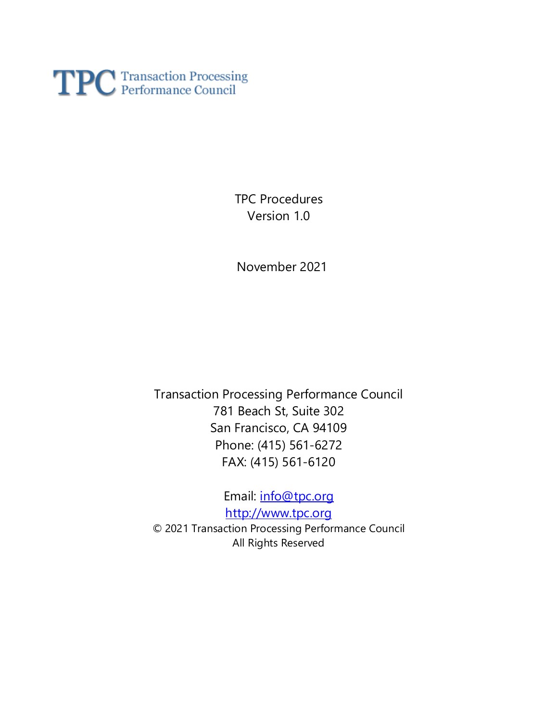

TPC Procedures Version 1.0

November 2021

Transaction Processing Performance Council 781 Beach St, Suite 302 San Francisco, CA 94109 Phone: (415) 561-6272 FAX: (415) 561-6120

Email: [info@tpc.org](mailto:info@tpc.org) [http://www.tpc.org](http://www.tpc.org/) © 2021 Transaction Processing Performance Council All Rights Reserved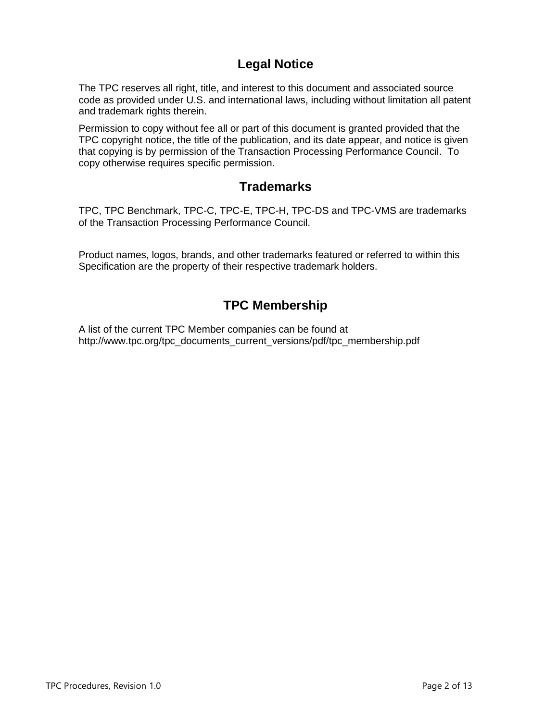# **Legal Notice**

The TPC reserves all right, title, and interest to this document and associated source code as provided under U.S. and international laws, including without limitation all patent and trademark rights therein.

Permission to copy without fee all or part of this document is granted provided that the TPC copyright notice, the title of the publication, and its date appear, and notice is given that copying is by permission of the Transaction Processing Performance Council. To copy otherwise requires specific permission.

# **Trademarks**

TPC, TPC Benchmark, TPC-C, TPC-E, TPC-H, TPC-DS and TPC-VMS are trademarks of the Transaction Processing Performance Council.

Product names, logos, brands, and other trademarks featured or referred to within this Specification are the property of their respective trademark holders.

# **TPC Membership**

A list of the current TPC Member companies can be found at http://www.tpc.org/tpc\_documents\_current\_versions/pdf/tpc\_membership.pdf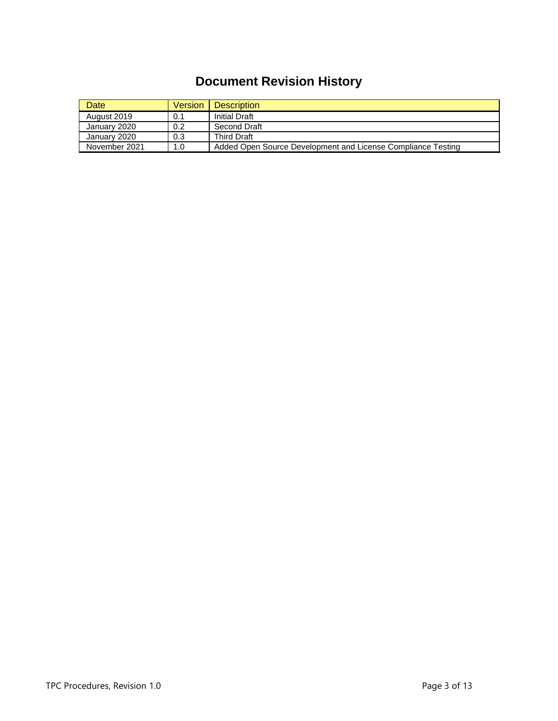# **Document Revision History**

| Date          | Version | <b>Description</b>                                           |
|---------------|---------|--------------------------------------------------------------|
| August 2019   | 0.1     | <b>Initial Draft</b>                                         |
| January 2020  | 0.2     | Second Draft                                                 |
| January 2020  | 0.3     | <b>Third Draft</b>                                           |
| November 2021 | 1.0     | Added Open Source Development and License Compliance Testing |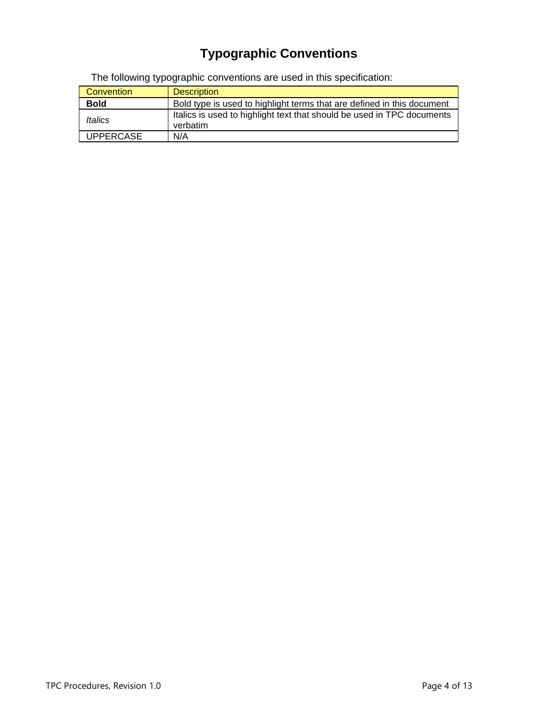# **Typographic Conventions**

The following typographic conventions are used in this specification:

| Convention                   | <b>Description</b>                                                                 |  |
|------------------------------|------------------------------------------------------------------------------------|--|
| <b>Bold</b>                  | Bold type is used to highlight terms that are defined in this document             |  |
| <i><u><b>Italics</b></u></i> | Italics is used to highlight text that should be used in TPC documents<br>verbatim |  |
| <b>UPPERCASE</b>             | N/A                                                                                |  |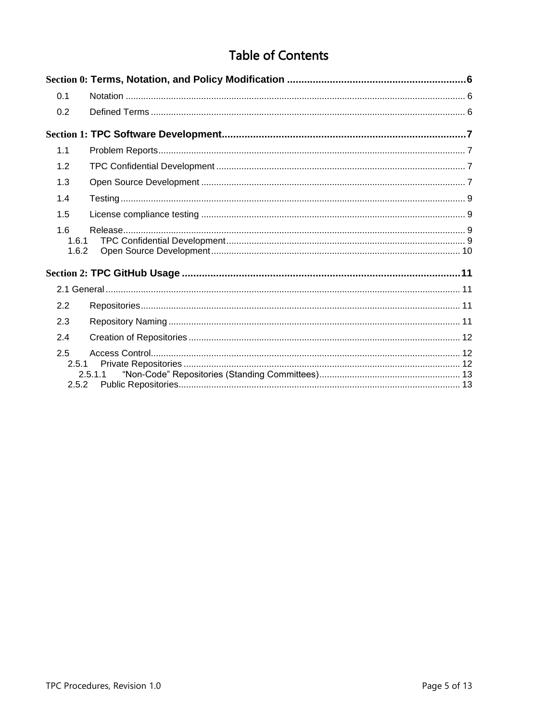# **Table of Contents**

| 0.1                   |         |  |
|-----------------------|---------|--|
| 0.2                   |         |  |
|                       |         |  |
| 1.1                   |         |  |
| 1.2                   |         |  |
| 1.3                   |         |  |
| 1.4                   |         |  |
| 1.5                   |         |  |
| 1.6<br>1.6.1<br>1.6.2 |         |  |
|                       |         |  |
|                       |         |  |
| 2.2                   |         |  |
| 2.3                   |         |  |
| 2.4                   |         |  |
| 2.5<br>2.5.1<br>2.5.2 | 2.5.1.1 |  |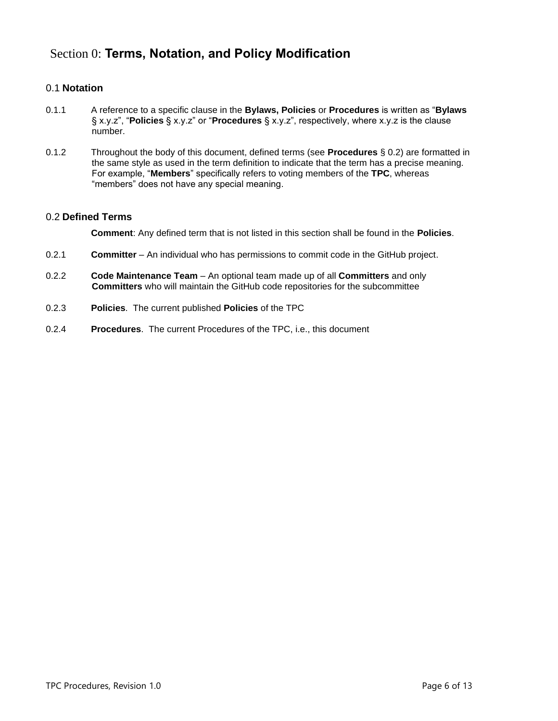# <span id="page-5-0"></span>Section 0: **Terms, Notation, and Policy Modification**

# <span id="page-5-1"></span>0.1 **Notation**

- 0.1.1 A reference to a specific clause in the **Bylaws, Policies** or **Procedures** is written as "**Bylaws** § x.y.z", "**Policies** § x.y.z" or "**Procedures** § x.y.z", respectively, where x.y.z is the clause number.
- 0.1.2 Throughout the body of this document, defined terms (see **Procedures** § [0.2\)](#page-5-2) are formatted in the same style as used in the term definition to indicate that the term has a precise meaning. For example, "**Members**" specifically refers to voting members of the **TPC**, whereas "members" does not have any special meaning.

## <span id="page-5-2"></span>0.2 **Defined Terms**

**Comment**: Any defined term that is not listed in this section shall be found in the **Policies**.

- 0.2.1 **Committer** An individual who has permissions to commit code in the GitHub project.
- 0.2.2 **Code Maintenance Team** An optional team made up of all **Committers** and only **Committers** who will maintain the GitHub code repositories for the subcommittee
- 0.2.3 **Policies**. The current published **Policies** of the TPC
- 0.2.4 **Procedures**. The current Procedures of the TPC, i.e., this document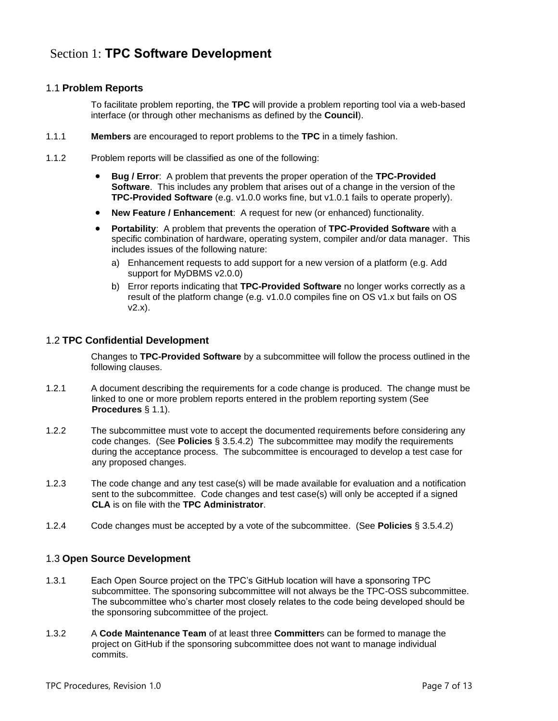# <span id="page-6-1"></span><span id="page-6-0"></span>1.1 **Problem Reports**

To facilitate problem reporting, the **TPC** will provide a problem reporting tool via a web-based interface (or through other mechanisms as defined by the **Council**).

- 1.1.1 **Members** are encouraged to report problems to the **TPC** in a timely fashion.
- 1.1.2 Problem reports will be classified as one of the following:
	- **Bug / Error**: A problem that prevents the proper operation of the **TPC-Provided Software**. This includes any problem that arises out of a change in the version of the **TPC-Provided Software** (e.g. v1.0.0 works fine, but v1.0.1 fails to operate properly).
	- **New Feature / Enhancement**: A request for new (or enhanced) functionality.
	- **Portability**: A problem that prevents the operation of **TPC-Provided Software** with a specific combination of hardware, operating system, compiler and/or data manager. This includes issues of the following nature:
		- a) Enhancement requests to add support for a new version of a platform (e.g. Add support for MyDBMS v2.0.0)
		- b) Error reports indicating that **TPC-Provided Software** no longer works correctly as a result of the platform change (e.g. v1.0.0 compiles fine on OS v1.x but fails on OS v2.x).

## <span id="page-6-2"></span>1.2 **TPC Confidential Development**

Changes to **TPC-Provided Software** by a subcommittee will follow the process outlined in the following clauses.

- 1.2.1 A document describing the requirements for a code change is produced. The change must be linked to one or more problem reports entered in the problem reporting system (See **Procedures** § [1.1\)](#page-6-1).
- 1.2.2 The subcommittee must vote to accept the documented requirements before considering any code changes. (See **Policies** § 3.5.4.2) The subcommittee may modify the requirements during the acceptance process. The subcommittee is encouraged to develop a test case for any proposed changes.
- 1.2.3 The code change and any test case(s) will be made available for evaluation and a notification sent to the subcommittee. Code changes and test case(s) will only be accepted if a signed **CLA** is on file with the **TPC Administrator**.
- <span id="page-6-3"></span>1.2.4 Code changes must be accepted by a vote of the subcommittee. (See **Policies** § 3.5.4.2)

## 1.3 **Open Source Development**

- 1.3.1 Each Open Source project on the TPC's GitHub location will have a sponsoring TPC subcommittee. The sponsoring subcommittee will not always be the TPC-OSS subcommittee. The subcommittee who's charter most closely relates to the code being developed should be the sponsoring subcommittee of the project.
- 1.3.2 A **Code Maintenance Team** of at least three **Committer**s can be formed to manage the project on GitHub if the sponsoring subcommittee does not want to manage individual commits.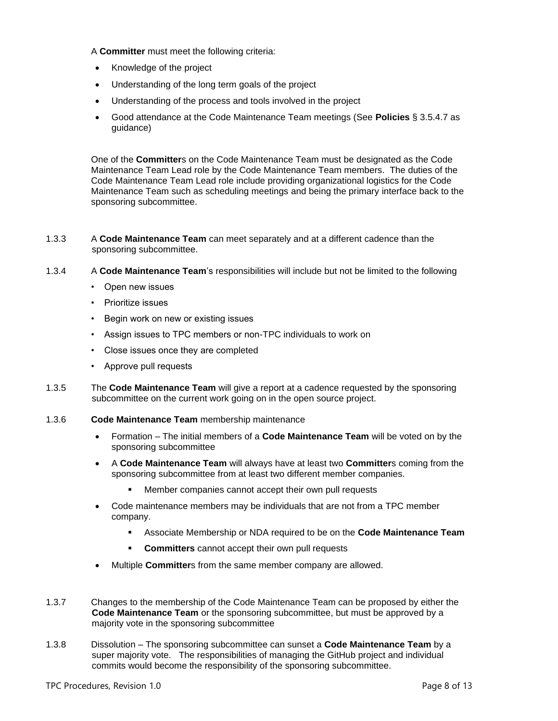#### A **Committer** must meet the following criteria:

- Knowledge of the project
- Understanding of the long term goals of the project
- Understanding of the process and tools involved in the project
- Good attendance at the Code Maintenance Team meetings (See **Policies** § 3.5.4.7 as guidance)

One of the **Committer**s on the Code Maintenance Team must be designated as the Code Maintenance Team Lead role by the Code Maintenance Team members. The duties of the Code Maintenance Team Lead role include providing organizational logistics for the Code Maintenance Team such as scheduling meetings and being the primary interface back to the sponsoring subcommittee.

#### 1.3.3 A **Code Maintenance Team** can meet separately and at a different cadence than the sponsoring subcommittee.

#### 1.3.4 A **Code Maintenance Team**'s responsibilities will include but not be limited to the following

- Open new issues
- Prioritize issues
- Begin work on new or existing issues
- Assign issues to TPC members or non-TPC individuals to work on
- Close issues once they are completed
- Approve pull requests
- 1.3.5 The **Code Maintenance Team** will give a report at a cadence requested by the sponsoring subcommittee on the current work going on in the open source project.
- 1.3.6 **Code Maintenance Team** membership maintenance
	- Formation The initial members of a **Code Maintenance Team** will be voted on by the sponsoring subcommittee
	- A **Code Maintenance Team** will always have at least two **Committer**s coming from the sponsoring subcommittee from at least two different member companies.
		- Member companies cannot accept their own pull requests
	- Code maintenance members may be individuals that are not from a TPC member company.
		- Associate Membership or NDA required to be on the **Code Maintenance Team**
		- **Committers** cannot accept their own pull requests
	- Multiple **Committer**s from the same member company are allowed.
- 1.3.7 Changes to the membership of the Code Maintenance Team can be proposed by either the **Code Maintenance Team** or the sponsoring subcommittee, but must be approved by a majority vote in the sponsoring subcommittee
- 1.3.8 Dissolution The sponsoring subcommittee can sunset a **Code Maintenance Team** by a super majority vote. The responsibilities of managing the GitHub project and individual commits would become the responsibility of the sponsoring subcommittee.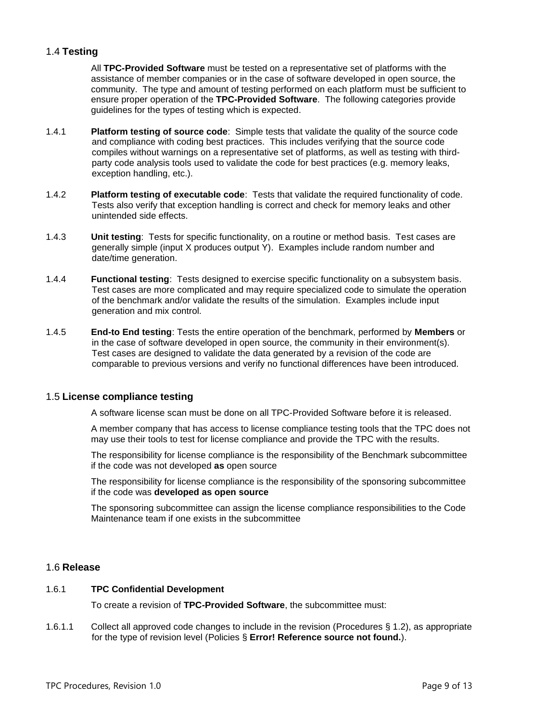### <span id="page-8-0"></span>1.4 **Testing**

All **TPC-Provided Software** must be tested on a representative set of platforms with the assistance of member companies or in the case of software developed in open source, the community. The type and amount of testing performed on each platform must be sufficient to ensure proper operation of the **TPC-Provided Software**. The following categories provide guidelines for the types of testing which is expected.

- 1.4.1 **Platform testing of source code**: Simple tests that validate the quality of the source code and compliance with coding best practices. This includes verifying that the source code compiles without warnings on a representative set of platforms, as well as testing with thirdparty code analysis tools used to validate the code for best practices (e.g. memory leaks, exception handling, etc.).
- 1.4.2 **Platform testing of executable code**: Tests that validate the required functionality of code. Tests also verify that exception handling is correct and check for memory leaks and other unintended side effects.
- 1.4.3 **Unit testing**: Tests for specific functionality, on a routine or method basis. Test cases are generally simple (input X produces output Y). Examples include random number and date/time generation.
- 1.4.4 **Functional testing**: Tests designed to exercise specific functionality on a subsystem basis. Test cases are more complicated and may require specialized code to simulate the operation of the benchmark and/or validate the results of the simulation. Examples include input generation and mix control.
- <span id="page-8-4"></span>1.4.5 **End-to End testing**: Tests the entire operation of the benchmark, performed by **Members** or in the case of software developed in open source, the community in their environment(s). Test cases are designed to validate the data generated by a revision of the code are comparable to previous versions and verify no functional differences have been introduced.

#### <span id="page-8-1"></span>1.5 **License compliance testing**

A software license scan must be done on all TPC-Provided Software before it is released.

A member company that has access to license compliance testing tools that the TPC does not may use their tools to test for license compliance and provide the TPC with the results.

The responsibility for license compliance is the responsibility of the Benchmark subcommittee if the code was not developed **as** open source

The responsibility for license compliance is the responsibility of the sponsoring subcommittee if the code was **developed as open source**

The sponsoring subcommittee can assign the license compliance responsibilities to the Code Maintenance team if one exists in the subcommittee

#### <span id="page-8-2"></span>1.6 **Release**

#### <span id="page-8-3"></span>1.6.1 **TPC Confidential Development**

To create a revision of **TPC-Provided Software**, the subcommittee must:

1.6.1.1 Collect all approved code changes to include in the revision (Procedures § [1.2\)](#page-6-2), as appropriate for the type of revision level (Policies § **Error! Reference source not found.**).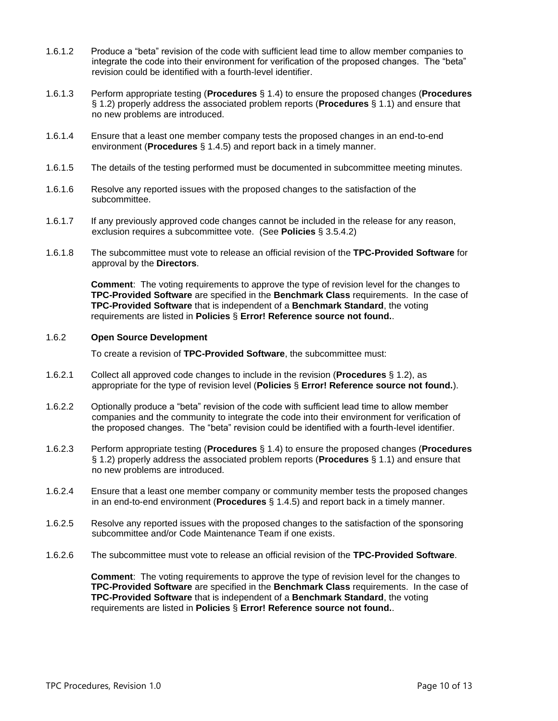- 1.6.1.2 Produce a "beta" revision of the code with sufficient lead time to allow member companies to integrate the code into their environment for verification of the proposed changes. The "beta" revision could be identified with a fourth-level identifier.
- 1.6.1.3 Perform appropriate testing (**Procedures** § [1.4\)](#page-8-0) to ensure the proposed changes (**Procedures** § [1.2\)](#page-6-2) properly address the associated problem reports (**Procedures** § [1.1\)](#page-6-1) and ensure that no new problems are introduced.
- 1.6.1.4 Ensure that a least one member company tests the proposed changes in an end-to-end environment (**Procedures** § [1.4.5\)](#page-8-4) and report back in a timely manner.
- 1.6.1.5 The details of the testing performed must be documented in subcommittee meeting minutes.
- 1.6.1.6 Resolve any reported issues with the proposed changes to the satisfaction of the subcommittee.
- 1.6.1.7 If any previously approved code changes cannot be included in the release for any reason, exclusion requires a subcommittee vote. (See **Policies** § 3.5.4.2)
- 1.6.1.8 The subcommittee must vote to release an official revision of the **TPC-Provided Software** for approval by the **Directors**.

**Comment**: The voting requirements to approve the type of revision level for the changes to **TPC-Provided Software** are specified in the **Benchmark Class** requirements. In the case of **TPC-Provided Software** that is independent of a **Benchmark Standard**, the voting requirements are listed in **Policies** § **Error! Reference source not found.**.

#### <span id="page-9-0"></span>1.6.2 **Open Source Development**

To create a revision of **TPC-Provided Software**, the subcommittee must:

- 1.6.2.1 Collect all approved code changes to include in the revision (**Procedures** § [1.2\)](#page-6-2), as appropriate for the type of revision level (**Policies** § **Error! Reference source not found.**).
- 1.6.2.2 Optionally produce a "beta" revision of the code with sufficient lead time to allow member companies and the community to integrate the code into their environment for verification of the proposed changes. The "beta" revision could be identified with a fourth-level identifier.
- 1.6.2.3 Perform appropriate testing (**Procedures** § [1.4\)](#page-8-0) to ensure the proposed changes (**Procedures** § [1.2\)](#page-6-2) properly address the associated problem reports (**Procedures** § [1.1\)](#page-6-1) and ensure that no new problems are introduced.
- 1.6.2.4 Ensure that a least one member company or community member tests the proposed changes in an end-to-end environment (**Procedures** § [1.4.5\)](#page-8-4) and report back in a timely manner.
- 1.6.2.5 Resolve any reported issues with the proposed changes to the satisfaction of the sponsoring subcommittee and/or Code Maintenance Team if one exists.
- 1.6.2.6 The subcommittee must vote to release an official revision of the **TPC-Provided Software**.

**Comment**: The voting requirements to approve the type of revision level for the changes to **TPC-Provided Software** are specified in the **Benchmark Class** requirements. In the case of **TPC-Provided Software** that is independent of a **Benchmark Standard**, the voting requirements are listed in **Policies** § **Error! Reference source not found.**.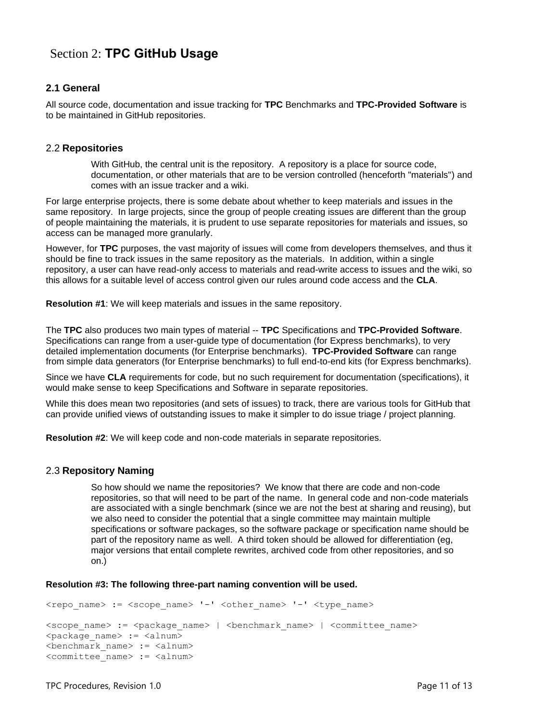# <span id="page-10-0"></span>Section 2: **TPC GitHub Usage**

# <span id="page-10-1"></span>**2.1 General**

All source code, documentation and issue tracking for **TPC** Benchmarks and **TPC-Provided Software** is to be maintained in GitHub repositories.

## <span id="page-10-2"></span>2.2 **Repositories**

With GitHub, the central unit is the repository. A repository is a place for source code, documentation, or other materials that are to be version controlled (henceforth "materials") and comes with an issue tracker and a wiki.

For large enterprise projects, there is some debate about whether to keep materials and issues in the same repository. In large projects, since the group of people creating issues are different than the group of people maintaining the materials, it is prudent to use separate repositories for materials and issues, so access can be managed more granularly.

However, for **TPC** purposes, the vast majority of issues will come from developers themselves, and thus it should be fine to track issues in the same repository as the materials. In addition, within a single repository, a user can have read-only access to materials and read-write access to issues and the wiki, so this allows for a suitable level of access control given our rules around code access and the **CLA**.

**Resolution #1**: We will keep materials and issues in the same repository.

The **TPC** also produces two main types of material -- **TPC** Specifications and **TPC-Provided Software**. Specifications can range from a user-guide type of documentation (for Express benchmarks), to very detailed implementation documents (for Enterprise benchmarks). **TPC-Provided Software** can range from simple data generators (for Enterprise benchmarks) to full end-to-end kits (for Express benchmarks).

Since we have **CLA** requirements for code, but no such requirement for documentation (specifications), it would make sense to keep Specifications and Software in separate repositories.

While this does mean two repositories (and sets of issues) to track, there are various tools for GitHub that can provide unified views of outstanding issues to make it simpler to do issue triage / project planning.

<span id="page-10-3"></span>**Resolution #2**: We will keep code and non-code materials in separate repositories.

#### 2.3 **Repository Naming**

So how should we name the repositories? We know that there are code and non-code repositories, so that will need to be part of the name. In general code and non-code materials are associated with a single benchmark (since we are not the best at sharing and reusing), but we also need to consider the potential that a single committee may maintain multiple specifications or software packages, so the software package or specification name should be part of the repository name as well. A third token should be allowed for differentiation (eg, major versions that entail complete rewrites, archived code from other repositories, and so on.)

#### **Resolution #3: The following three-part naming convention will be used.**

```
<repo_name> := <scope_name> '-' <other_name> '-' <type_name>
<scope name> := <package name> | <br/> <br/> <br/> <br/> <br/> <br/> <br/> <<br/>committee name>
<package name> := <alnum>
<benchmark_name> := <alnum>
<committee_name> := <alnum>
```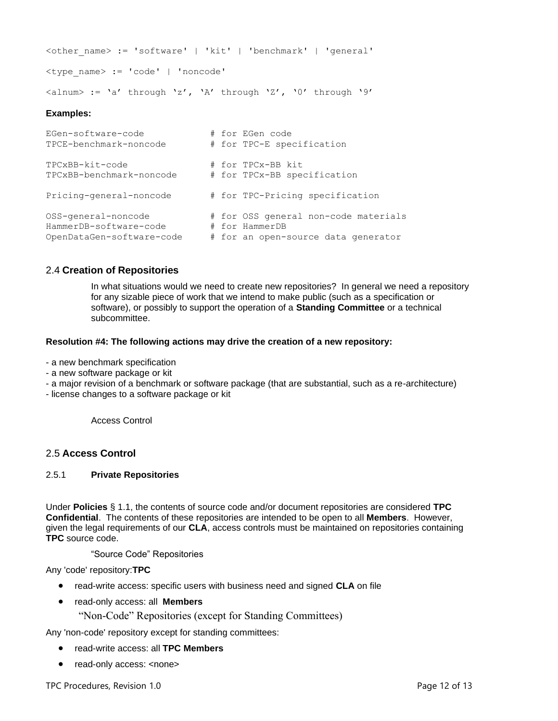```
<other_name> := 'software' | 'kit' | 'benchmark' | 'general'
<type_name> := 'code' | 'noncode'
\langlealnum> := 'a' through 'z', 'A' through 'Z', '0' through '9'
```
### **Examples:**

```
EGen-software-code # for EGen code
TPCE-benchmark-noncode # for TPC-E specification
TPCxBB-kit-code # for TPCx-BB kit
TPCxBB-benchmark-noncode # for TPCx-BB specification
Pricing-general-noncode # for TPC-Pricing specification
OSS-general-noncode # for OSS general non-code materials
HammerDB-software-code # for HammerDB
OpenDataGen-software-code # for an open-source data generator
```
### <span id="page-11-0"></span>2.4 **Creation of Repositories**

In what situations would we need to create new repositories? In general we need a repository for any sizable piece of work that we intend to make public (such as a specification or software), or possibly to support the operation of a **Standing Committee** or a technical subcommittee.

#### **Resolution #4: The following actions may drive the creation of a new repository:**

- a new benchmark specification
- a new software package or kit
- a major revision of a benchmark or software package (that are substantial, such as a re-architecture)
- license changes to a software package or kit

Access Control

#### <span id="page-11-1"></span>2.5 **Access Control**

#### <span id="page-11-2"></span>2.5.1 **Private Repositories**

Under **Policies** § [1.1,](#page-6-1) the contents of source code and/or document repositories are considered **TPC Confidential**. The contents of these repositories are intended to be open to all **Members**. However, given the legal requirements of our **CLA**, access controls must be maintained on repositories containing **TPC** source code.

"Source Code" Repositories

Any 'code' repository:**TPC**

- read-write access: specific users with business need and signed **CLA** on file
- read-only access: all **Members**
	- "Non-Code" Repositories (except for Standing Committees)

Any 'non-code' repository except for standing committees:

- read-write access: all **TPC Members**
- read-only access: <none>